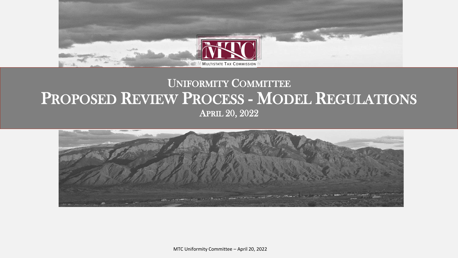

#### UNIFORMITY COMMITTEE PROPOSED REVIEW PROCESS - MODEL REGULATIONS APRIL 20, 2022



MTC Uniformity Committee – April 20, 2022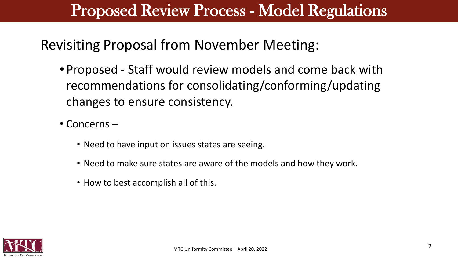Revisiting Proposal from November Meeting:

- Proposed Staff would review models and come back with recommendations for consolidating/conforming/updating changes to ensure consistency.
- Concerns
	- Need to have input on issues states are seeing.
	- Need to make sure states are aware of the models and how they work.
	- How to best accomplish all of this.

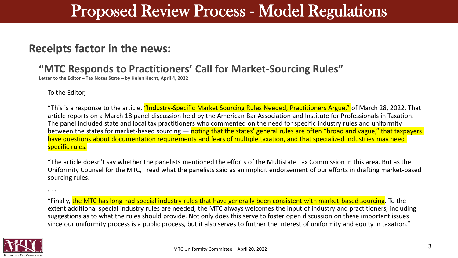#### **Receipts factor in the news:**

#### **"MTC Responds to Practitioners' Call for Market-Sourcing Rules"**

**Letter to the Editor – Tax Notes State – by Helen Hecht, April 4, 2022**

To the Editor,

. . .

"This is a response to the article, "Industry-Specific Market Sourcing Rules Needed, Practitioners Argue," of March 28, 2022. That article reports on a March 18 panel discussion held by the American Bar Association and Institute for Professionals in Taxation. The panel included state and local tax practitioners who commented on the need for specific industry rules and uniformity between the states for market-based sourcing — noting that the states' general rules are often "broad and vague," that taxpayers have questions about documentation requirements and fears of multiple taxation, and that specialized industries may need specific rules.

"The article doesn't say whether the panelists mentioned the efforts of the Multistate Tax Commission in this area. But as the Uniformity Counsel for the MTC, I read what the panelists said as an implicit endorsement of our efforts in drafting market-based sourcing rules.

"Finally, the MTC has long had special industry rules that have generally been consistent with market-based sourcing. To the extent additional special industry rules are needed, the MTC always welcomes the input of industry and practitioners, including suggestions as to what the rules should provide. Not only does this serve to foster open discussion on these important issues since our uniformity process is a public process, but it also serves to further the interest of uniformity and equity in taxation."

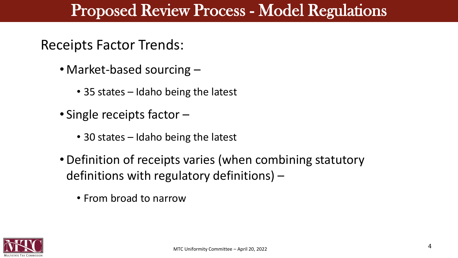#### Receipts Factor Trends:

- Market-based sourcing  $-$ 
	- 35 states Idaho being the latest
- Single receipts factor
	- 30 states Idaho being the latest
- Definition of receipts varies (when combining statutory definitions with regulatory definitions) –
	- From broad to narrow

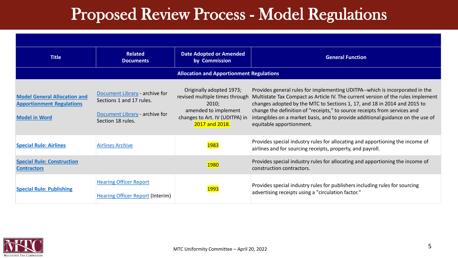| <b>Title</b>                                                                                    | <b>Related</b><br><b>Documents</b>                                                                                | <b>Date Adopted or Amended</b><br>by Commission                                                                                                 | <b>General Function</b>                                                                                                                                                                                                                                                                                                                                                                                                                  |  |  |
|-------------------------------------------------------------------------------------------------|-------------------------------------------------------------------------------------------------------------------|-------------------------------------------------------------------------------------------------------------------------------------------------|------------------------------------------------------------------------------------------------------------------------------------------------------------------------------------------------------------------------------------------------------------------------------------------------------------------------------------------------------------------------------------------------------------------------------------------|--|--|
| <b>Allocation and Apportionment Regulations</b>                                                 |                                                                                                                   |                                                                                                                                                 |                                                                                                                                                                                                                                                                                                                                                                                                                                          |  |  |
| <b>Model General Allocation and</b><br><b>Apportionment Regulations</b><br><b>Model in Word</b> | Document Library - archive for<br>Sections 1 and 17 rules.<br>Document Library - archive for<br>Section 18 rules. | Originally adopted 1973;<br>revised multiple times through<br>2010:<br>amended to implement<br>changes to Art. IV (UDITPA) in<br>2017 and 2018. | Provides general rules for implementing UDITPA--which is incorporated in the<br>Multistate Tax Compact as Article IV. The current version of the rules implement<br>changes adopted by the MTC to Sections 1, 17, and 18 in 2014 and 2015 to<br>change the definition of "receipts," to source receipts from services and<br>intangibles on a market basis, and to provide additional guidance on the use of<br>equitable apportionment. |  |  |
| <b>Special Rule: Airlines</b>                                                                   | <b>Airlines Archive</b>                                                                                           | 1983                                                                                                                                            | Provides special industry rules for allocating and apportioning the income of<br>airlines and for sourcing receipts, property, and payroll.                                                                                                                                                                                                                                                                                              |  |  |
| <b>Special Rule: Construction</b><br><b>Contractors</b>                                         |                                                                                                                   | 1980                                                                                                                                            | Provides special industry rules for allocating and apportioning the income of<br>construction contractors.                                                                                                                                                                                                                                                                                                                               |  |  |
| <b>Special Rule: Publishing</b>                                                                 | <b>Hearing Officer Report</b><br><b>Hearing Officer Report (Interim)</b>                                          | 1993                                                                                                                                            | Provides special industry rules for publishers including rules for sourcing<br>advertising receipts using a "circulation factor."                                                                                                                                                                                                                                                                                                        |  |  |

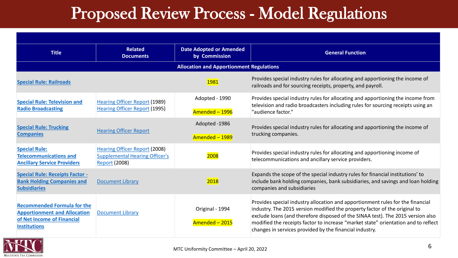| <b>Title</b>                                                                                                                   | <b>Related</b><br><b>Documents</b>                                                                    | <b>Date Adopted or Amended</b><br>by Commission | <b>General Function</b>                                                                                                                                                                                                                                                                                                                                                                          |  |
|--------------------------------------------------------------------------------------------------------------------------------|-------------------------------------------------------------------------------------------------------|-------------------------------------------------|--------------------------------------------------------------------------------------------------------------------------------------------------------------------------------------------------------------------------------------------------------------------------------------------------------------------------------------------------------------------------------------------------|--|
| <b>Allocation and Apportionment Regulations</b>                                                                                |                                                                                                       |                                                 |                                                                                                                                                                                                                                                                                                                                                                                                  |  |
| <b>Special Rule: Railroads</b>                                                                                                 |                                                                                                       | 1981                                            | Provides special industry rules for allocating and apportioning the income of<br>railroads and for sourcing receipts, property, and payroll.                                                                                                                                                                                                                                                     |  |
| <b>Special Rule: Television and</b><br><b>Radio Broadcasting</b>                                                               | <b>Hearing Officer Report (1989)</b><br><b>Hearing Officer Report (1995)</b>                          | Adopted - 1990<br>Amended - 1996                | Provides special industry rules for allocating and apportioning the income from<br>television and radio broadcasters including rules for sourcing receipts using an<br>"audience factor."                                                                                                                                                                                                        |  |
| <b>Special Rule: Trucking</b><br><b>Companies</b>                                                                              | <b>Hearing Officer Report</b>                                                                         | Adopted -1986<br>Amended - 1989                 | Provides special industry rules for allocating and apportioning the income of<br>trucking companies.                                                                                                                                                                                                                                                                                             |  |
| <b>Special Rule:</b><br><b>Telecommunications and</b><br><b>Ancillary Service Providers</b>                                    | <b>Hearing Officer Report (2008)</b><br><b>Supplemental Hearing Officer's</b><br><b>Report (2008)</b> | 2008                                            | Provides special industry rules for allocating and apportioning income of<br>telecommunications and ancillary service providers.                                                                                                                                                                                                                                                                 |  |
| <b>Special Rule: Receipts Factor -</b><br><b>Bank Holding Companies and</b><br><b>Subsidiaries</b>                             | <b>Document Library</b>                                                                               | 2018                                            | Expands the scope of the special industry rules for financial institutions' to<br>include bank holding companies, bank subsidiaries, and savings and loan holding<br>companies and subsidiaries                                                                                                                                                                                                  |  |
| <b>Recommended Formula for the</b><br><b>Apportionment and Allocation</b><br>of Net Income of Financial<br><b>Institutions</b> | <b>Document Library</b>                                                                               | Original - 1994<br>Amended - 2015               | Provides special industry allocation and apportionment rules for the financial<br>industry. The 2015 version modified the property factor of the original to<br>exclude loans (and therefore disposed of the SINAA test). The 2015 version also<br>modified the receipts factor to increase "market state" orientation and to reflect<br>changes in services provided by the financial industry. |  |

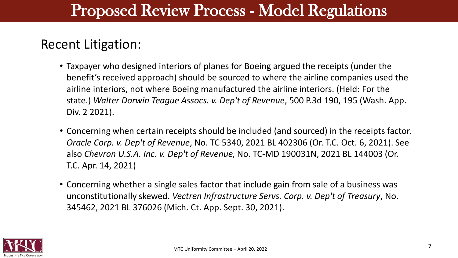#### Recent Litigation:

- Taxpayer who designed interiors of planes for Boeing argued the receipts (under the benefit's received approach) should be sourced to where the airline companies used the airline interiors, not where Boeing manufactured the airline interiors. (Held: For the state.) *Walter Dorwin Teague Assocs. v. Dep't of Revenue*, 500 P.3d 190, 195 (Wash. App. Div. 2 2021).
- Concerning when certain receipts should be included (and sourced) in the receipts factor. *Oracle Corp. v. Dep't of Revenue*, No. TC 5340, 2021 BL 402306 (Or. T.C. Oct. 6, 2021). See also *Chevron U.S.A. Inc. v. Dep't of Revenue*, No. TC-MD 190031N, 2021 BL 144003 (Or. T.C. Apr. 14, 2021)
- Concerning whether a single sales factor that include gain from sale of a business was unconstitutionally skewed. *Vectren Infrastructure Servs. Corp. v. Dep't of Treasury*, No. 345462, 2021 BL 376026 (Mich. Ct. App. Sept. 30, 2021).

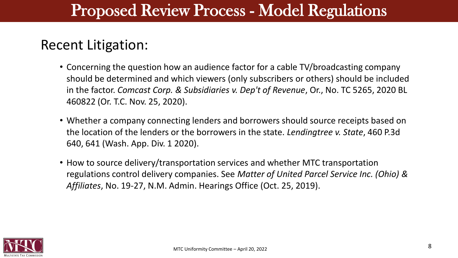#### Recent Litigation:

- Concerning the question how an audience factor for a cable TV/broadcasting company should be determined and which viewers (only subscribers or others) should be included in the factor. *Comcast Corp. & Subsidiaries v. Dep't of Revenue*, Or., No. TC 5265, 2020 BL 460822 (Or. T.C. Nov. 25, 2020).
- Whether a company connecting lenders and borrowers should source receipts based on the location of the lenders or the borrowers in the state. *Lendingtree v. State*, 460 P.3d 640, 641 (Wash. App. Div. 1 2020).
- How to source delivery/transportation services and whether MTC transportation regulations control delivery companies. See *Matter of United Parcel Service Inc. (Ohio) & Affiliates*, No. 19-27, N.M. Admin. Hearings Office (Oct. 25, 2019).

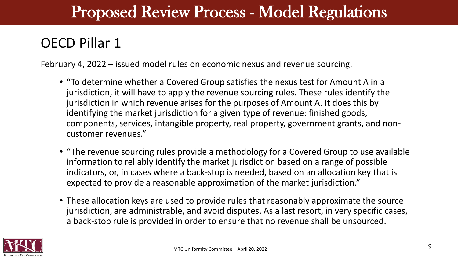#### OECD Pillar 1

February 4, 2022 – issued model rules on economic nexus and revenue sourcing.

- "To determine whether a Covered Group satisfies the nexus test for Amount A in a jurisdiction, it will have to apply the revenue sourcing rules. These rules identify the jurisdiction in which revenue arises for the purposes of Amount A. It does this by identifying the market jurisdiction for a given type of revenue: finished goods, components, services, intangible property, real property, government grants, and noncustomer revenues."
- "The revenue sourcing rules provide a methodology for a Covered Group to use available information to reliably identify the market jurisdiction based on a range of possible indicators, or, in cases where a back-stop is needed, based on an allocation key that is expected to provide a reasonable approximation of the market jurisdiction."
- These allocation keys are used to provide rules that reasonably approximate the source jurisdiction, are administrable, and avoid disputes. As a last resort, in very specific cases, a back-stop rule is provided in order to ensure that no revenue shall be unsourced.

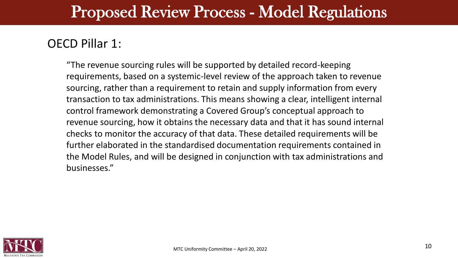#### OECD Pillar 1:

"The revenue sourcing rules will be supported by detailed record-keeping requirements, based on a systemic-level review of the approach taken to revenue sourcing, rather than a requirement to retain and supply information from every transaction to tax administrations. This means showing a clear, intelligent internal control framework demonstrating a Covered Group's conceptual approach to revenue sourcing, how it obtains the necessary data and that it has sound internal checks to monitor the accuracy of that data. These detailed requirements will be further elaborated in the standardised documentation requirements contained in the Model Rules, and will be designed in conjunction with tax administrations and businesses."

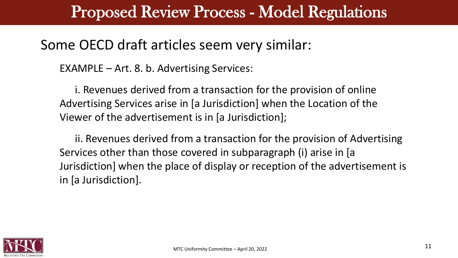#### Some OECD draft articles seem very similar:

EXAMPLE – Art. 8. b. Advertising Services:

i. Revenues derived from a transaction for the provision of online Advertising Services arise in [a Jurisdiction] when the Location of the Viewer of the advertisement is in [a Jurisdiction];

ii. Revenues derived from a transaction for the provision of Advertising Services other than those covered in subparagraph (i) arise in [a Jurisdiction] when the place of display or reception of the advertisement is in [a Jurisdiction].

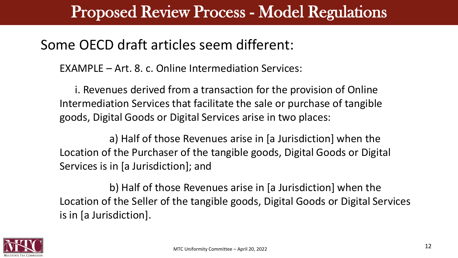#### Some OECD draft articles seem different:

EXAMPLE – Art. 8. c. Online Intermediation Services:

i. Revenues derived from a transaction for the provision of Online Intermediation Services that facilitate the sale or purchase of tangible goods, Digital Goods or Digital Services arise in two places:

a) Half of those Revenues arise in [a Jurisdiction] when the Location of the Purchaser of the tangible goods, Digital Goods or Digital Services is in [a Jurisdiction]; and

b) Half of those Revenues arise in [a Jurisdiction] when the Location of the Seller of the tangible goods, Digital Goods or Digital Services is in [a Jurisdiction].

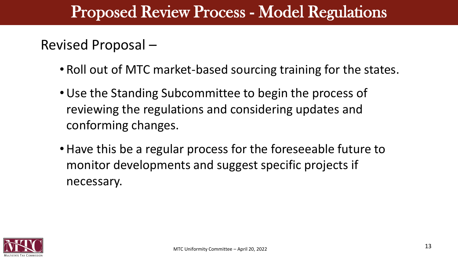#### Revised Proposal –

- Roll out of MTC market-based sourcing training for the states.
- Use the Standing Subcommittee to begin the process of reviewing the regulations and considering updates and conforming changes.
- Have this be a regular process for the foreseeable future to monitor developments and suggest specific projects if necessary.